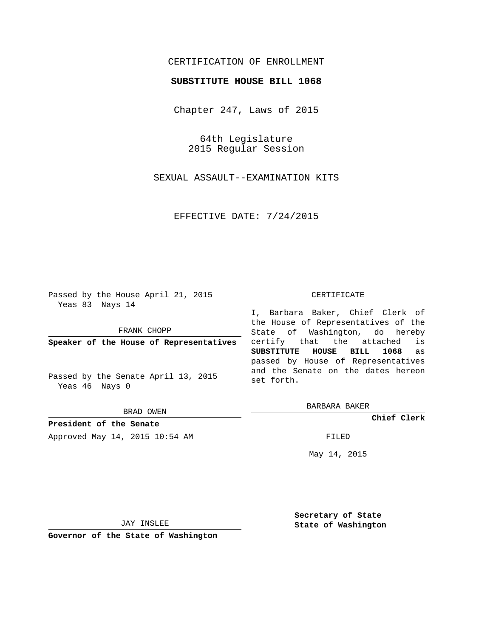## CERTIFICATION OF ENROLLMENT

### **SUBSTITUTE HOUSE BILL 1068**

Chapter 247, Laws of 2015

64th Legislature 2015 Regular Session

SEXUAL ASSAULT--EXAMINATION KITS

EFFECTIVE DATE: 7/24/2015

Passed by the House April 21, 2015 Yeas 83 Nays 14

FRANK CHOPP

**Speaker of the House of Representatives**

Passed by the Senate April 13, 2015 Yeas 46 Nays 0

BRAD OWEN

**President of the Senate** Approved May 14, 2015 10:54 AM FILED

#### CERTIFICATE

I, Barbara Baker, Chief Clerk of the House of Representatives of the State of Washington, do hereby certify that the attached is **SUBSTITUTE HOUSE BILL 1068** as passed by House of Representatives and the Senate on the dates hereon set forth.

BARBARA BAKER

**Chief Clerk**

May 14, 2015

JAY INSLEE

**Governor of the State of Washington**

**Secretary of State State of Washington**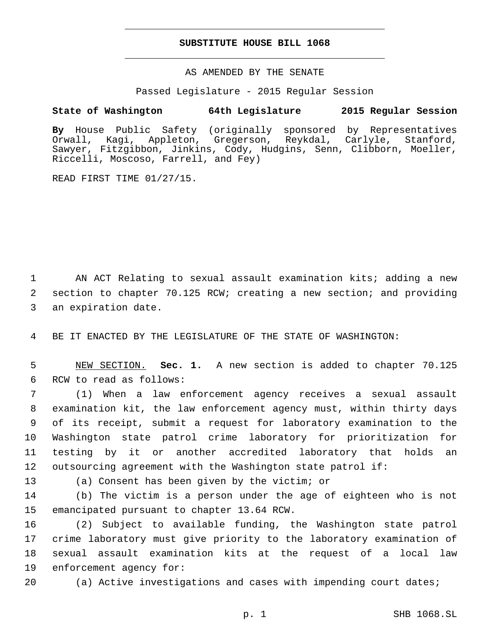### **SUBSTITUTE HOUSE BILL 1068**

AS AMENDED BY THE SENATE

Passed Legislature - 2015 Regular Session

# **State of Washington 64th Legislature 2015 Regular Session**

**By** House Public Safety (originally sponsored by Representatives Orwall, Kagi, Appleton, Gregerson, Reykdal, Carlyle, Stanford, Sawyer, Fitzgibbon, Jinkins, Cody, Hudgins, Senn, Clibborn, Moeller, Riccelli, Moscoso, Farrell, and Fey)

READ FIRST TIME 01/27/15.

1 AN ACT Relating to sexual assault examination kits; adding a new 2 section to chapter 70.125 RCW; creating a new section; and providing 3 an expiration date.

4 BE IT ENACTED BY THE LEGISLATURE OF THE STATE OF WASHINGTON:

5 NEW SECTION. **Sec. 1.** A new section is added to chapter 70.125 6 RCW to read as follows:

 (1) When a law enforcement agency receives a sexual assault examination kit, the law enforcement agency must, within thirty days of its receipt, submit a request for laboratory examination to the Washington state patrol crime laboratory for prioritization for testing by it or another accredited laboratory that holds an outsourcing agreement with the Washington state patrol if:

13 (a) Consent has been given by the victim; or

14 (b) The victim is a person under the age of eighteen who is not 15 emancipated pursuant to chapter 13.64 RCW.

 (2) Subject to available funding, the Washington state patrol crime laboratory must give priority to the laboratory examination of sexual assault examination kits at the request of a local law 19 enforcement agency for:

20 (a) Active investigations and cases with impending court dates;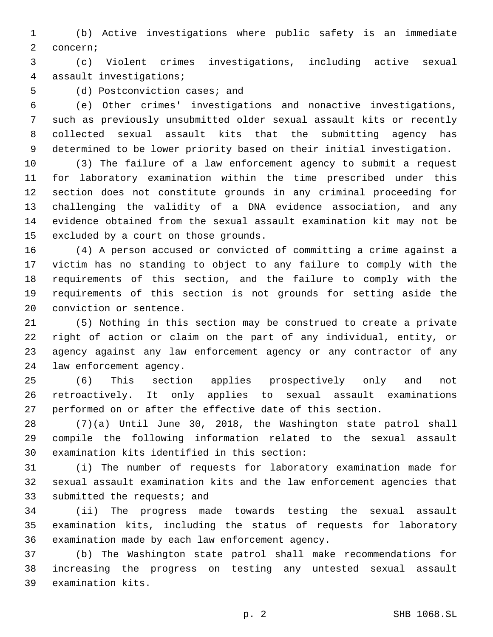(b) Active investigations where public safety is an immediate 2 concern;

 (c) Violent crimes investigations, including active sexual 4 assault investigations;

5 (d) Postconviction cases; and

 (e) Other crimes' investigations and nonactive investigations, such as previously unsubmitted older sexual assault kits or recently collected sexual assault kits that the submitting agency has determined to be lower priority based on their initial investigation.

 (3) The failure of a law enforcement agency to submit a request for laboratory examination within the time prescribed under this section does not constitute grounds in any criminal proceeding for challenging the validity of a DNA evidence association, and any evidence obtained from the sexual assault examination kit may not be 15 excluded by a court on those grounds.

 (4) A person accused or convicted of committing a crime against a victim has no standing to object to any failure to comply with the requirements of this section, and the failure to comply with the requirements of this section is not grounds for setting aside the 20 conviction or sentence.

 (5) Nothing in this section may be construed to create a private right of action or claim on the part of any individual, entity, or agency against any law enforcement agency or any contractor of any 24 law enforcement agency.

 (6) This section applies prospectively only and not retroactively. It only applies to sexual assault examinations performed on or after the effective date of this section.

 (7)(a) Until June 30, 2018, the Washington state patrol shall compile the following information related to the sexual assault 30 examination kits identified in this section:

 (i) The number of requests for laboratory examination made for sexual assault examination kits and the law enforcement agencies that 33 submitted the requests; and

 (ii) The progress made towards testing the sexual assault examination kits, including the status of requests for laboratory 36 examination made by each law enforcement agency.

 (b) The Washington state patrol shall make recommendations for increasing the progress on testing any untested sexual assault 39 examination kits.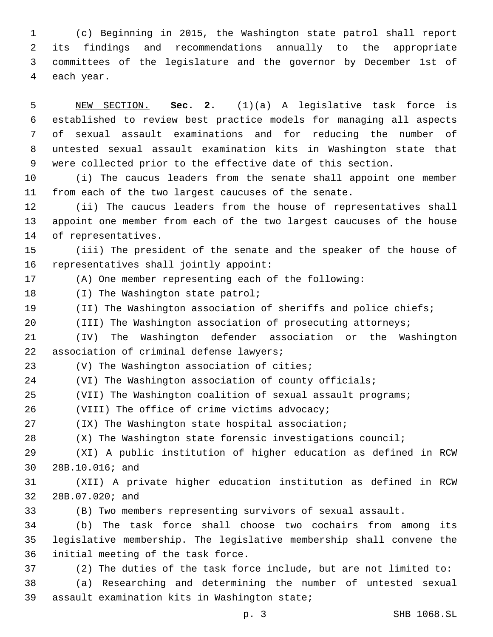(c) Beginning in 2015, the Washington state patrol shall report its findings and recommendations annually to the appropriate committees of the legislature and the governor by December 1st of 4 each year.

 NEW SECTION. **Sec. 2.** (1)(a) A legislative task force is established to review best practice models for managing all aspects of sexual assault examinations and for reducing the number of untested sexual assault examination kits in Washington state that were collected prior to the effective date of this section.

 (i) The caucus leaders from the senate shall appoint one member from each of the two largest caucuses of the senate.

 (ii) The caucus leaders from the house of representatives shall appoint one member from each of the two largest caucuses of the house 14 of representatives.

 (iii) The president of the senate and the speaker of the house of 16 representatives shall jointly appoint:

(A) One member representing each of the following:

18 (I) The Washington state patrol;

(II) The Washington association of sheriffs and police chiefs;

20 (III) The Washington association of prosecuting attorneys;

 (IV) The Washington defender association or the Washington 22 association of criminal defense lawyers;

23 (V) The Washington association of cities;

(VI) The Washington association of county officials;

(VII) The Washington coalition of sexual assault programs;

26 (VIII) The office of crime victims advocacy;

(IX) The Washington state hospital association;

(X) The Washington state forensic investigations council;

 (XI) A public institution of higher education as defined in RCW 30 28B.10.016; and

 (XII) A private higher education institution as defined in RCW 32 28B.07.020; and

(B) Two members representing survivors of sexual assault.

 (b) The task force shall choose two cochairs from among its legislative membership. The legislative membership shall convene the 36 initial meeting of the task force.

(2) The duties of the task force include, but are not limited to:

 (a) Researching and determining the number of untested sexual 39 assault examination kits in Washington state;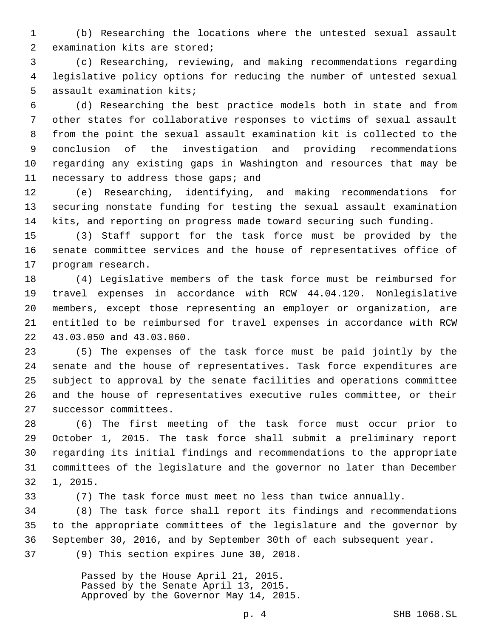(b) Researching the locations where the untested sexual assault 2 examination kits are stored;

 (c) Researching, reviewing, and making recommendations regarding legislative policy options for reducing the number of untested sexual 5 assault examination kits;

 (d) Researching the best practice models both in state and from other states for collaborative responses to victims of sexual assault from the point the sexual assault examination kit is collected to the conclusion of the investigation and providing recommendations regarding any existing gaps in Washington and resources that may be 11 necessary to address those gaps; and

 (e) Researching, identifying, and making recommendations for securing nonstate funding for testing the sexual assault examination kits, and reporting on progress made toward securing such funding.

 (3) Staff support for the task force must be provided by the senate committee services and the house of representatives office of 17 program research.

 (4) Legislative members of the task force must be reimbursed for travel expenses in accordance with RCW 44.04.120. Nonlegislative members, except those representing an employer or organization, are entitled to be reimbursed for travel expenses in accordance with RCW 22 43.03.050 and 43.03.060.

 (5) The expenses of the task force must be paid jointly by the senate and the house of representatives. Task force expenditures are subject to approval by the senate facilities and operations committee and the house of representatives executive rules committee, or their 27 successor committees.

 (6) The first meeting of the task force must occur prior to October 1, 2015. The task force shall submit a preliminary report regarding its initial findings and recommendations to the appropriate committees of the legislature and the governor no later than December 32 1, 2015.

(7) The task force must meet no less than twice annually.

 (8) The task force shall report its findings and recommendations to the appropriate committees of the legislature and the governor by September 30, 2016, and by September 30th of each subsequent year. 37 (9) This section expires June 30, 2018.

> Passed by the House April 21, 2015. Passed by the Senate April 13, 2015. Approved by the Governor May 14, 2015.